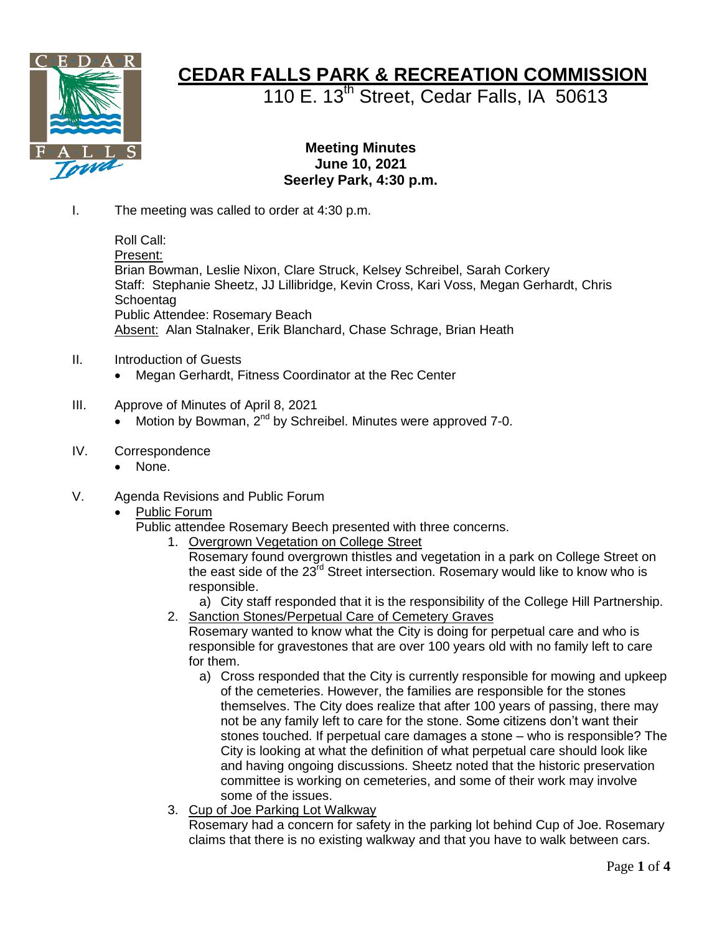

## **CEDAR FALLS PARK & RECREATION COMMISSION**

110 E. 13<sup>th</sup> Street, Cedar Falls, IA 50613

## **Meeting Minutes June 10, 2021 Seerley Park, 4:30 p.m.**

I. The meeting was called to order at 4:30 p.m.

Roll Call: Present: Brian Bowman, Leslie Nixon, Clare Struck, Kelsey Schreibel, Sarah Corkery Staff: Stephanie Sheetz, JJ Lillibridge, Kevin Cross, Kari Voss, Megan Gerhardt, Chris **Schoentag** Public Attendee: Rosemary Beach Absent: Alan Stalnaker, Erik Blanchard, Chase Schrage, Brian Heath

- II. Introduction of Guests
	- Megan Gerhardt, Fitness Coordinator at the Rec Center
- III. Approve of Minutes of April 8, 2021
	- Motion by Bowman, 2<sup>nd</sup> by Schreibel. Minutes were approved 7-0.
- IV. Correspondence
	- None.
- V. Agenda Revisions and Public Forum
	- Public Forum

Public attendee Rosemary Beech presented with three concerns.

- 1. Overgrown Vegetation on College Street
	- Rosemary found overgrown thistles and vegetation in a park on College Street on the east side of the  $23^{\text{rd}}$  Street intersection. Rosemary would like to know who is responsible.
- a) City staff responded that it is the responsibility of the College Hill Partnership. 2. Sanction Stones/Perpetual Care of Cemetery Graves

Rosemary wanted to know what the City is doing for perpetual care and who is responsible for gravestones that are over 100 years old with no family left to care for them.

- a) Cross responded that the City is currently responsible for mowing and upkeep of the cemeteries. However, the families are responsible for the stones themselves. The City does realize that after 100 years of passing, there may not be any family left to care for the stone. Some citizens don't want their stones touched. If perpetual care damages a stone – who is responsible? The City is looking at what the definition of what perpetual care should look like and having ongoing discussions. Sheetz noted that the historic preservation committee is working on cemeteries, and some of their work may involve some of the issues.
- 3. Cup of Joe Parking Lot Walkway

Rosemary had a concern for safety in the parking lot behind Cup of Joe. Rosemary claims that there is no existing walkway and that you have to walk between cars.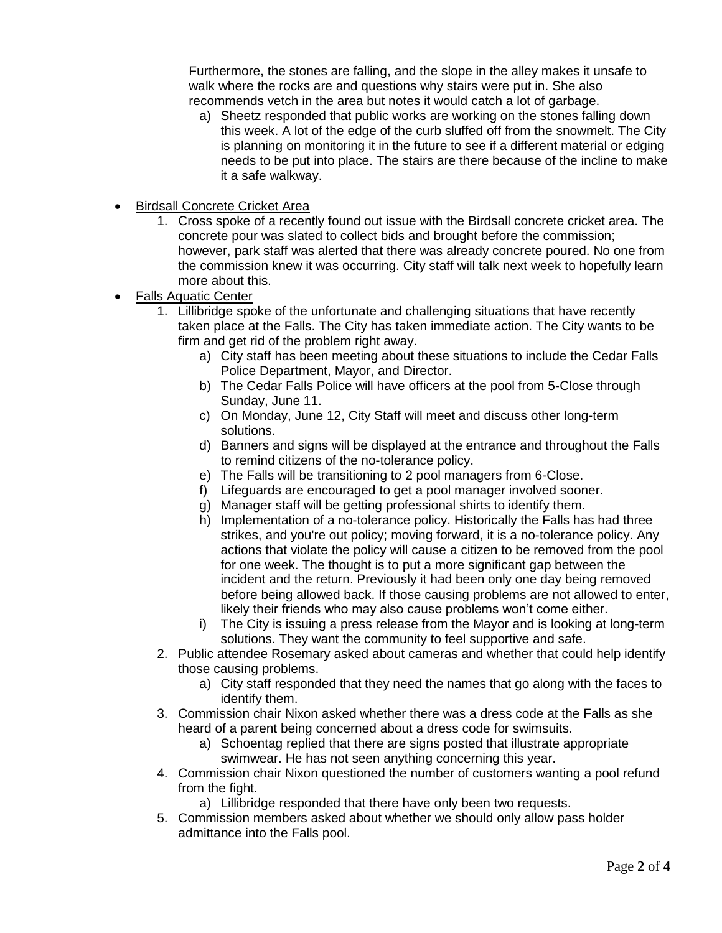Furthermore, the stones are falling, and the slope in the alley makes it unsafe to walk where the rocks are and questions why stairs were put in. She also recommends vetch in the area but notes it would catch a lot of garbage.

- a) Sheetz responded that public works are working on the stones falling down this week. A lot of the edge of the curb sluffed off from the snowmelt. The City is planning on monitoring it in the future to see if a different material or edging needs to be put into place. The stairs are there because of the incline to make it a safe walkway.
- Birdsall Concrete Cricket Area
	- 1. Cross spoke of a recently found out issue with the Birdsall concrete cricket area. The concrete pour was slated to collect bids and brought before the commission; however, park staff was alerted that there was already concrete poured. No one from the commission knew it was occurring. City staff will talk next week to hopefully learn more about this.
- Falls Aquatic Center
	- 1. Lillibridge spoke of the unfortunate and challenging situations that have recently taken place at the Falls. The City has taken immediate action. The City wants to be firm and get rid of the problem right away.
		- a) City staff has been meeting about these situations to include the Cedar Falls Police Department, Mayor, and Director.
		- b) The Cedar Falls Police will have officers at the pool from 5-Close through Sunday, June 11.
		- c) On Monday, June 12, City Staff will meet and discuss other long-term solutions.
		- d) Banners and signs will be displayed at the entrance and throughout the Falls to remind citizens of the no-tolerance policy.
		- e) The Falls will be transitioning to 2 pool managers from 6-Close.
		- f) Lifeguards are encouraged to get a pool manager involved sooner.
		- g) Manager staff will be getting professional shirts to identify them.
		- h) Implementation of a no-tolerance policy. Historically the Falls has had three strikes, and you're out policy; moving forward, it is a no-tolerance policy. Any actions that violate the policy will cause a citizen to be removed from the pool for one week. The thought is to put a more significant gap between the incident and the return. Previously it had been only one day being removed before being allowed back. If those causing problems are not allowed to enter, likely their friends who may also cause problems won't come either.
		- i) The City is issuing a press release from the Mayor and is looking at long-term solutions. They want the community to feel supportive and safe.
	- 2. Public attendee Rosemary asked about cameras and whether that could help identify those causing problems.
		- a) City staff responded that they need the names that go along with the faces to identify them.
	- 3. Commission chair Nixon asked whether there was a dress code at the Falls as she heard of a parent being concerned about a dress code for swimsuits.
		- a) Schoentag replied that there are signs posted that illustrate appropriate swimwear. He has not seen anything concerning this year.
	- 4. Commission chair Nixon questioned the number of customers wanting a pool refund from the fight.
		- a) Lillibridge responded that there have only been two requests.
	- 5. Commission members asked about whether we should only allow pass holder admittance into the Falls pool.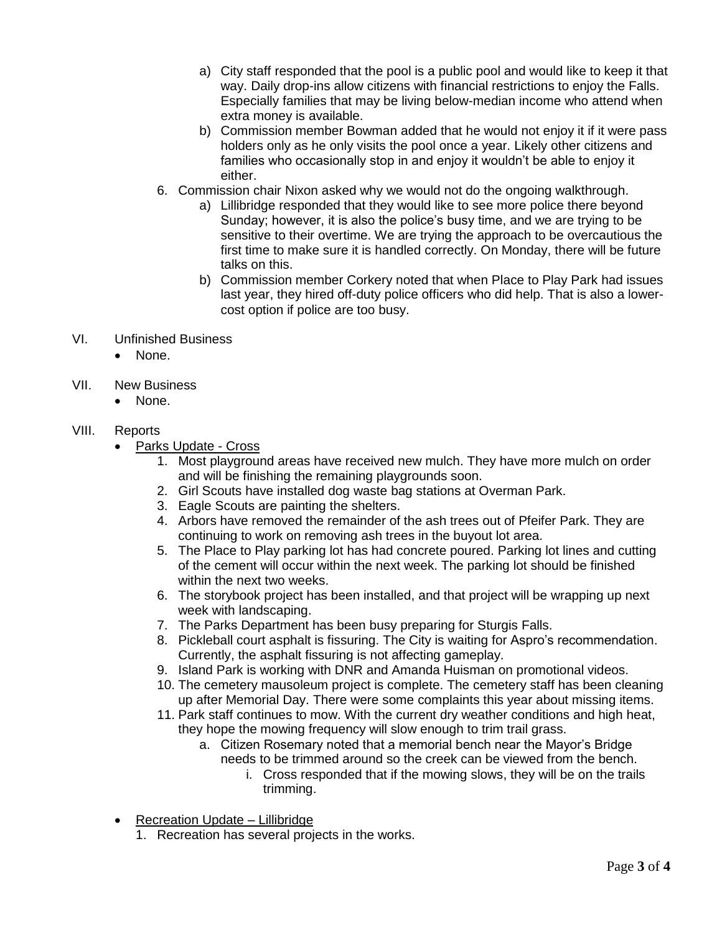- a) City staff responded that the pool is a public pool and would like to keep it that way. Daily drop-ins allow citizens with financial restrictions to enjoy the Falls. Especially families that may be living below-median income who attend when extra money is available.
- b) Commission member Bowman added that he would not enjoy it if it were pass holders only as he only visits the pool once a year. Likely other citizens and families who occasionally stop in and enjoy it wouldn't be able to enjoy it either.
- 6. Commission chair Nixon asked why we would not do the ongoing walkthrough.
	- a) Lillibridge responded that they would like to see more police there beyond Sunday; however, it is also the police's busy time, and we are trying to be sensitive to their overtime. We are trying the approach to be overcautious the first time to make sure it is handled correctly. On Monday, there will be future talks on this.
	- b) Commission member Corkery noted that when Place to Play Park had issues last year, they hired off-duty police officers who did help. That is also a lowercost option if police are too busy.
- VI. Unfinished Business
	- None.
- VII. New Business
	- None.

## VIII. Reports

- Parks Update Cross
	- 1. Most playground areas have received new mulch. They have more mulch on order and will be finishing the remaining playgrounds soon.
	- 2. Girl Scouts have installed dog waste bag stations at Overman Park.
	- 3. Eagle Scouts are painting the shelters.
	- 4. Arbors have removed the remainder of the ash trees out of Pfeifer Park. They are continuing to work on removing ash trees in the buyout lot area.
	- 5. The Place to Play parking lot has had concrete poured. Parking lot lines and cutting of the cement will occur within the next week. The parking lot should be finished within the next two weeks.
	- 6. The storybook project has been installed, and that project will be wrapping up next week with landscaping.
	- 7. The Parks Department has been busy preparing for Sturgis Falls.
	- 8. Pickleball court asphalt is fissuring. The City is waiting for Aspro's recommendation. Currently, the asphalt fissuring is not affecting gameplay.
	- 9. Island Park is working with DNR and Amanda Huisman on promotional videos.
	- 10. The cemetery mausoleum project is complete. The cemetery staff has been cleaning up after Memorial Day. There were some complaints this year about missing items.
	- 11. Park staff continues to mow. With the current dry weather conditions and high heat, they hope the mowing frequency will slow enough to trim trail grass.
		- a. Citizen Rosemary noted that a memorial bench near the Mayor's Bridge needs to be trimmed around so the creek can be viewed from the bench.
			- i. Cross responded that if the mowing slows, they will be on the trails trimming.
- Recreation Update Lillibridge
	- 1. Recreation has several projects in the works.